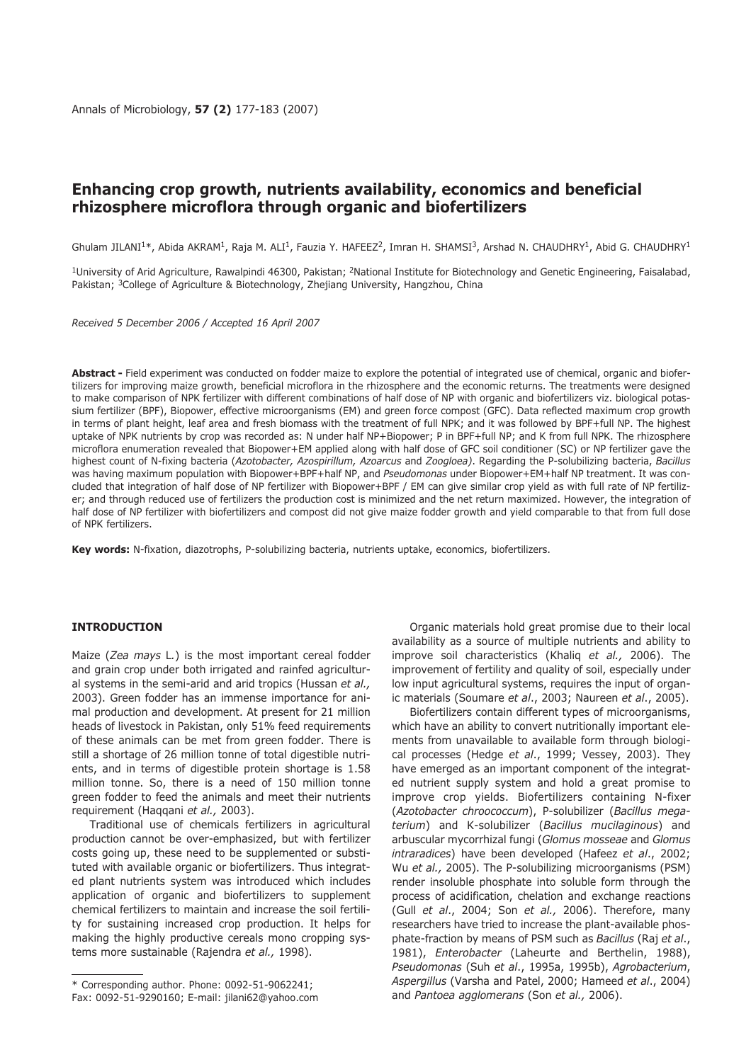# **Enhancing crop growth, nutrients availability, economics and beneficial rhizosphere microflora through organic and biofertilizers**

Ghulam JILANI<sup>1\*</sup>, Abida AKRAM<sup>1</sup>, Raja M. ALI<sup>1</sup>, Fauzia Y. HAFEEZ<sup>2</sup>, Imran H. SHAMSI<sup>3</sup>, Arshad N. CHAUDHRY<sup>1</sup>, Abid G. CHAUDHRY<sup>1</sup>

 $1$ University of Arid Agriculture, Rawalpindi 46300, Pakistan; <sup>2</sup>National Institute for Biotechnology and Genetic Engineering, Faisalabad, Pakistan; 3College of Agriculture & Biotechnology, Zhejiang University, Hangzhou, China

*Received 5 December 2006 / Accepted 16 April 2007*

**Abstract -** Field experiment was conducted on fodder maize to explore the potential of integrated use of chemical, organic and biofertilizers for improving maize growth, beneficial microflora in the rhizosphere and the economic returns. The treatments were designed to make comparison of NPK fertilizer with different combinations of half dose of NP with organic and biofertilizers viz. biological potassium fertilizer (BPF), Biopower, effective microorganisms (EM) and green force compost (GFC). Data reflected maximum crop growth in terms of plant height, leaf area and fresh biomass with the treatment of full NPK; and it was followed by BPF+full NP. The highest uptake of NPK nutrients by crop was recorded as: N under half NP+Biopower; P in BPF+full NP; and K from full NPK. The rhizosphere microflora enumeration revealed that Biopower+EM applied along with half dose of GFC soil conditioner (SC) or NP fertilizer gave the highest count of N-fixing bacteria (*Azotobacter, Azospirillum, Azoarcus* and *Zoogloea)*. Regarding the P-solubilizing bacteria, *Bacillus* was having maximum population with Biopower+BPF+half NP, and *Pseudomonas* under Biopower+EM+half NP treatment. It was concluded that integration of half dose of NP fertilizer with Biopower+BPF / EM can give similar crop yield as with full rate of NP fertilizer; and through reduced use of fertilizers the production cost is minimized and the net return maximized. However, the integration of half dose of NP fertilizer with biofertilizers and compost did not give maize fodder growth and yield comparable to that from full dose of NPK fertilizers.

**Key words:** N-fixation, diazotrophs, P-solubilizing bacteria, nutrients uptake, economics, biofertilizers.

# **INTRODUCTION**

Maize (*Zea mays* L*.*) is the most important cereal fodder and grain crop under both irrigated and rainfed agricultural systems in the semi-arid and arid tropics (Hussan *et al.,* 2003). Green fodder has an immense importance for animal production and development. At present for 21 million heads of livestock in Pakistan, only 51% feed requirements of these animals can be met from green fodder. There is still a shortage of 26 million tonne of total digestible nutrients, and in terms of digestible protein shortage is 1.58 million tonne. So, there is a need of 150 million tonne green fodder to feed the animals and meet their nutrients requirement (Haqqani *et al.,* 2003).

Traditional use of chemicals fertilizers in agricultural production cannot be over-emphasized, but with fertilizer costs going up, these need to be supplemented or substituted with available organic or biofertilizers. Thus integrated plant nutrients system was introduced which includes application of organic and biofertilizers to supplement chemical fertilizers to maintain and increase the soil fertility for sustaining increased crop production. It helps for making the highly productive cereals mono cropping systems more sustainable (Rajendra *et al.,* 1998).

and *Pantoea agglomerans* (Son *et al.,* 2006). \* Corresponding author. Phone: 0092-51-9062241; Fax: 0092-51-9290160; E-mail: jilani62@yahoo.com

Organic materials hold great promise due to their local availability as a source of multiple nutrients and ability to improve soil characteristics (Khaliq *et al.,* 2006). The improvement of fertility and quality of soil, especially under low input agricultural systems, requires the input of organic materials (Soumare *et al*., 2003; Naureen *et al*., 2005).

Biofertilizers contain different types of microorganisms, which have an ability to convert nutritionally important elements from unavailable to available form through biological processes (Hedge *et al*., 1999; Vessey, 2003). They have emerged as an important component of the integrated nutrient supply system and hold a great promise to improve crop yields. Biofertilizers containing N-fixer (*Azotobacter chroococcum*), P-solubilizer (*Bacillus megaterium*) and K-solubilizer (*Bacillus mucilaginous*) and arbuscular mycorrhizal fungi (*Glomus mosseae* and *Glomus intraradices*) have been developed (Hafeez *et al*., 2002; Wu *et al.,* 2005). The P-solubilizing microorganisms (PSM) render insoluble phosphate into soluble form through the process of acidification, chelation and exchange reactions (Gull *et al*., 2004; Son *et al.,* 2006). Therefore, many researchers have tried to increase the plant-available phosphate-fraction by means of PSM such as *Bacillus* (Raj *et al*., 1981), *Enterobacter* (Laheurte and Berthelin, 1988), *Pseudomonas* (Suh *et al*., 1995a, 1995b), *Agrobacterium*, *Aspergillus* (Varsha and Patel, 2000; Hameed *et al*., 2004)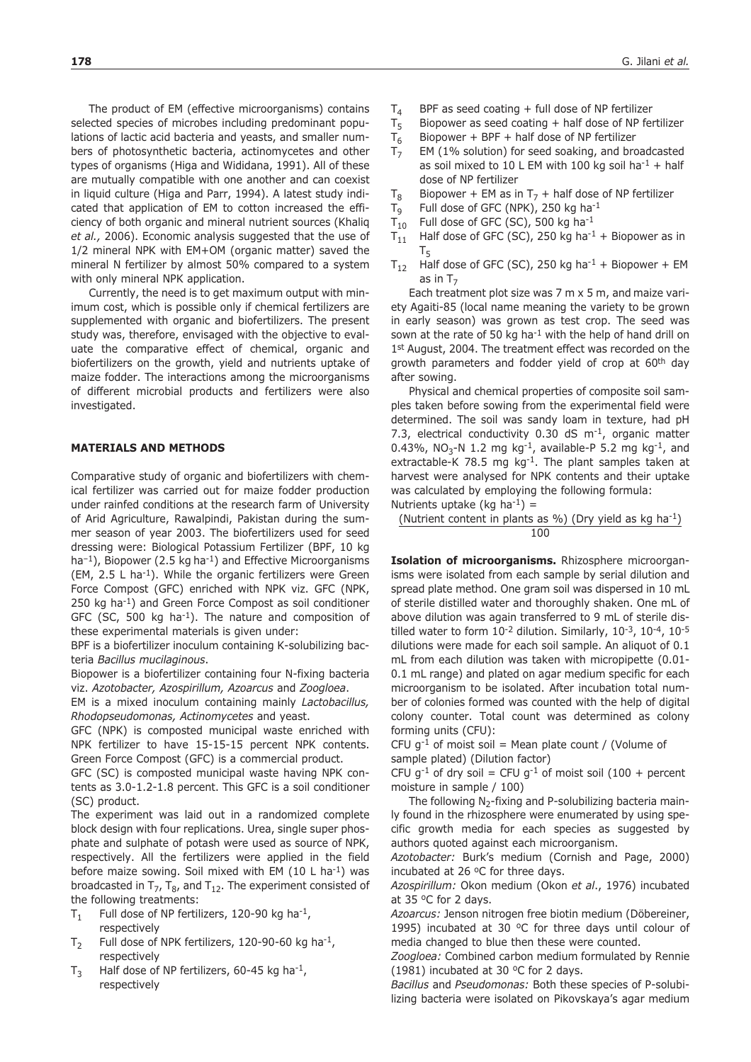The product of EM (effective microorganisms) contains selected species of microbes including predominant populations of lactic acid bacteria and yeasts, and smaller numbers of photosynthetic bacteria, actinomycetes and other types of organisms (Higa and Wididana, 1991). All of these are mutually compatible with one another and can coexist in liquid culture (Higa and Parr, 1994). A latest study indicated that application of EM to cotton increased the efficiency of both organic and mineral nutrient sources (Khaliq *et al.,* 2006). Economic analysis suggested that the use of 1/2 mineral NPK with EM+OM (organic matter) saved the mineral N fertilizer by almost 50% compared to a system with only mineral NPK application.

Currently, the need is to get maximum output with minimum cost, which is possible only if chemical fertilizers are supplemented with organic and biofertilizers. The present study was, therefore, envisaged with the objective to evaluate the comparative effect of chemical, organic and biofertilizers on the growth, yield and nutrients uptake of maize fodder. The interactions among the microorganisms of different microbial products and fertilizers were also investigated.

# **MATERIALS AND METHODS**

Comparative study of organic and biofertilizers with chemical fertilizer was carried out for maize fodder production under rainfed conditions at the research farm of University of Arid Agriculture, Rawalpindi, Pakistan during the summer season of year 2003. The biofertilizers used for seed dressing were: Biological Potassium Fertilizer (BPF, 10 kg ha<sup>-1</sup>), Biopower (2.5 kg ha<sup>-1</sup>) and Effective Microorganisms (EM, 2.5 L ha<sup>-1</sup>). While the organic fertilizers were Green Force Compost (GFC) enriched with NPK viz. GFC (NPK, 250 kg ha-1) and Green Force Compost as soil conditioner GFC (SC, 500 kg ha<sup>-1</sup>). The nature and composition of these experimental materials is given under:

BPF is a biofertilizer inoculum containing K-solubilizing bacteria *Bacillus mucilaginous*.

Biopower is a biofertilizer containing four N-fixing bacteria viz. *Azotobacter, Azospirillum, Azoarcus* and *Zoogloea*.

EM is a mixed inoculum containing mainly *Lactobacillus, Rhodopseudomonas, Actinomycetes* and yeast.

GFC (NPK) is composted municipal waste enriched with NPK fertilizer to have 15-15-15 percent NPK contents. Green Force Compost (GFC) is a commercial product.

GFC (SC) is composted municipal waste having NPK contents as 3.0-1.2-1.8 percent. This GFC is a soil conditioner (SC) product.

The experiment was laid out in a randomized complete block design with four replications. Urea, single super phosphate and sulphate of potash were used as source of NPK, respectively. All the fertilizers were applied in the field before maize sowing. Soil mixed with EM  $(10 \text{ L ha}^{-1})$  was broadcasted in  $T_7$ ,  $T_8$ , and  $T_{12}$ . The experiment consisted of the following treatments:

- $T_1$  Full dose of NP fertilizers, 120-90 kg ha<sup>-1</sup>, respectively
- $T_2$  Full dose of NPK fertilizers, 120-90-60 kg ha<sup>-1</sup>, respectively
- $T_3$  Half dose of NP fertilizers, 60-45 kg ha<sup>-1</sup>, respectively
- $T_4$  BPF as seed coating + full dose of NP fertilizer
- $T_5$  Biopower as seed coating + half dose of NP fertilizer
- $T_6$  Biopower + BPF + half dose of NP fertilizer<br> $T_7$  EM (1% solution) for seed soaking, and bro
- EM (1% solution) for seed soaking, and broadcasted as soil mixed to 10 L EM with 100 kg soil ha<sup>-1</sup> + half dose of NP fertilizer
- T<sub>8</sub> Biopower + EM as in T<sub>7</sub> + half dose of NP fertilizer<br>T<sub>o</sub> Full dose of GFC (NPK), 250 kg ha<sup>-1</sup>
- 
- $T_9$  Full dose of GFC (NPK), 250 kg ha<sup>-1</sup><br> $T_{10}$  Full dose of GFC (SC), 500 kg ha<sup>-1</sup>
- $T_{10}$  Full dose of GFC (SC), 500 kg ha<sup>-1</sup><br> $T_{11}$  Half dose of GFC (SC), 250 kg ha<sup>-1</sup> Half dose of GFC (SC), 250 kg ha<sup>-1</sup> + Biopower as in  $T<sub>5</sub>$
- $T_{12}$  Half dose of GFC (SC), 250 kg ha<sup>-1</sup> + Biopower + EM as in  $T<sub>7</sub>$

Each treatment plot size was 7 m x 5 m, and maize variety Agaiti-85 (local name meaning the variety to be grown in early season) was grown as test crop. The seed was sown at the rate of 50 kg ha<sup>-1</sup> with the help of hand drill on 1<sup>st</sup> August, 2004. The treatment effect was recorded on the growth parameters and fodder yield of crop at 60<sup>th</sup> day after sowing.

Physical and chemical properties of composite soil samples taken before sowing from the experimental field were determined. The soil was sandy loam in texture, had pH 7.3, electrical conductivity  $0.30$  dS m<sup>-1</sup>, organic matter 0.43%, NO<sub>3</sub>-N 1.2 mg kg<sup>-1</sup>, available-P 5.2 mg kg<sup>-1</sup>, and extractable-K 78.5 mg kg<sup>-1</sup>. The plant samples taken at harvest were analysed for NPK contents and their uptake was calculated by employing the following formula: Nutrients uptake (kg ha<sup>-1</sup>) =

(Nutrient content in plants as %) (Dry yield as kg ha-1)

100

**Isolation of microorganisms.** Rhizosphere microorganisms were isolated from each sample by serial dilution and spread plate method. One gram soil was dispersed in 10 mL of sterile distilled water and thoroughly shaken. One mL of above dilution was again transferred to 9 mL of sterile distilled water to form  $10^{-2}$  dilution. Similarly,  $10^{-3}$ ,  $10^{-4}$ ,  $10^{-5}$ dilutions were made for each soil sample. An aliquot of 0.1 mL from each dilution was taken with micropipette (0.01- 0.1 mL range) and plated on agar medium specific for each microorganism to be isolated. After incubation total number of colonies formed was counted with the help of digital colony counter. Total count was determined as colony forming units (CFU):

CFU g<sup>-1</sup> of moist soil = Mean plate count / (Volume of sample plated) (Dilution factor)

CFU g<sup>-1</sup> of dry soil = CFU g<sup>-1</sup> of moist soil (100 + percent moisture in sample / 100)

The following  $N_2$ -fixing and P-solubilizing bacteria mainly found in the rhizosphere were enumerated by using specific growth media for each species as suggested by authors quoted against each microorganism.

*Azotobacter:* Burk's medium (Cornish and Page, 2000) incubated at 26  $^{\circ}$ C for three days.

*Azospirillum:* Okon medium (Okon *et al*., 1976) incubated at 35 °C for 2 days.

*Azoarcus:* Jenson nitrogen free biotin medium (Döbereiner, 1995) incubated at 30  $^{\circ}$ C for three days until colour of media changed to blue then these were counted.

*Zoogloea:* Combined carbon medium formulated by Rennie (1981) incubated at 30  $\degree$ C for 2 days.

*Bacillus* and *Pseudomonas:* Both these species of P-solubilizing bacteria were isolated on Pikovskaya's agar medium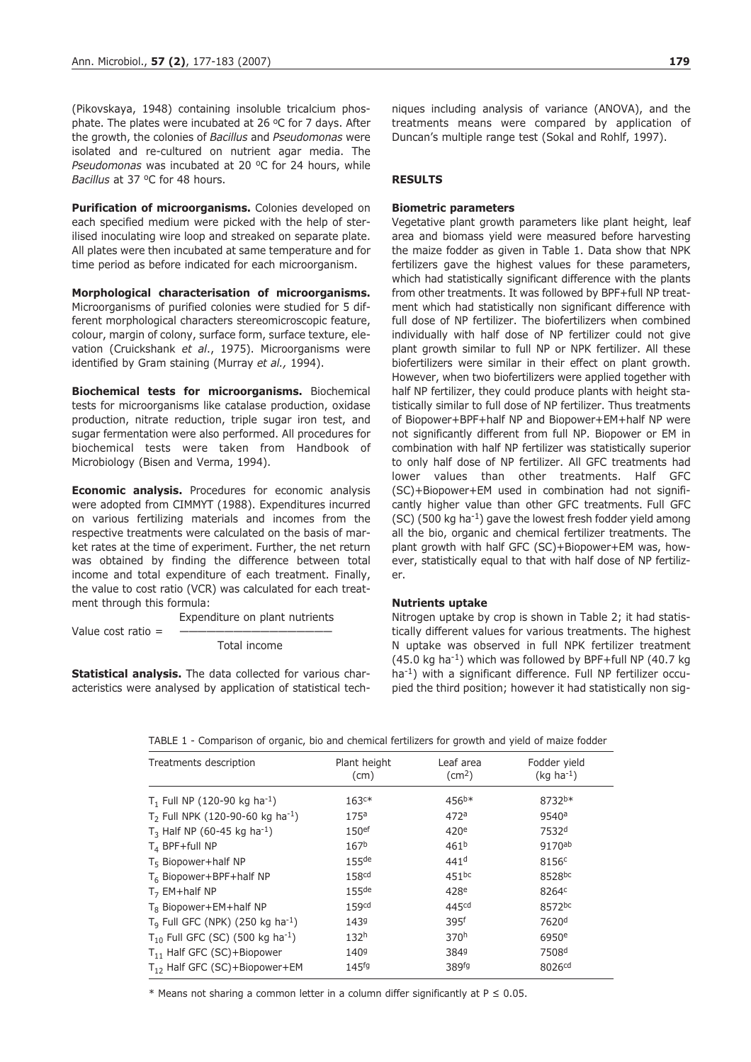(Pikovskaya, 1948) containing insoluble tricalcium phosphate. The plates were incubated at 26  $\degree$ C for 7 days. After the growth, the colonies of *Bacillus* and *Pseudomonas* were isolated and re-cultured on nutrient agar media. The *Pseudomonas* was incubated at 20 °C for 24 hours, while *Bacillus* at 37 °C for 48 hours.

**Purification of microorganisms.** Colonies developed on each specified medium were picked with the help of sterilised inoculating wire loop and streaked on separate plate. All plates were then incubated at same temperature and for time period as before indicated for each microorganism.

**Morphological characterisation of microorganisms.** Microorganisms of purified colonies were studied for 5 different morphological characters stereomicroscopic feature, colour, margin of colony, surface form, surface texture, elevation (Cruickshank *et al*., 1975). Microorganisms were identified by Gram staining (Murray *et al.,* 1994).

**Biochemical tests for microorganisms.** Biochemical tests for microorganisms like catalase production, oxidase production, nitrate reduction, triple sugar iron test, and sugar fermentation were also performed. All procedures for biochemical tests were taken from Handbook of Microbiology (Bisen and Verma, 1994).

**Economic analysis.** Procedures for economic analysis were adopted from CIMMYT (1988). Expenditures incurred on various fertilizing materials and incomes from the respective treatments were calculated on the basis of market rates at the time of experiment. Further, the net return was obtained by finding the difference between total income and total expenditure of each treatment. Finally, the value to cost ratio (VCR) was calculated for each treatment through this formula:

Expenditure on plant nutrients

Total income

**Statistical analysis.** The data collected for various characteristics were analysed by application of statistical tech-

Value cost ratio  $=$ 

niques including analysis of variance (ANOVA), and the treatments means were compared by application of Duncan's multiple range test (Sokal and Rohlf, 1997).

# **RESULTS**

#### **Biometric parameters**

Vegetative plant growth parameters like plant height, leaf area and biomass yield were measured before harvesting the maize fodder as given in Table 1. Data show that NPK fertilizers gave the highest values for these parameters, which had statistically significant difference with the plants from other treatments. It was followed by BPF+full NP treatment which had statistically non significant difference with full dose of NP fertilizer. The biofertilizers when combined individually with half dose of NP fertilizer could not give plant growth similar to full NP or NPK fertilizer. All these biofertilizers were similar in their effect on plant growth. However, when two biofertilizers were applied together with half NP fertilizer, they could produce plants with height statistically similar to full dose of NP fertilizer. Thus treatments of Biopower+BPF+half NP and Biopower+EM+half NP were not significantly different from full NP. Biopower or EM in combination with half NP fertilizer was statistically superior to only half dose of NP fertilizer. All GFC treatments had lower values than other treatments. Half GFC (SC)+Biopower+EM used in combination had not significantly higher value than other GFC treatments. Full GFC  $(SC)$  (500 kg ha<sup>-1</sup>) gave the lowest fresh fodder yield among all the bio, organic and chemical fertilizer treatments. The plant growth with half GFC (SC)+Biopower+EM was, however, statistically equal to that with half dose of NP fertilizer.

#### **Nutrients uptake**

Nitrogen uptake by crop is shown in Table 2; it had statistically different values for various treatments. The highest N uptake was observed in full NPK fertilizer treatment  $(45.0 \text{ kg} \text{ ha}^{-1})$  which was followed by BPF+full NP  $(40.7 \text{ kg} \cdot )$ ha<sup>-1</sup>) with a significant difference. Full NP fertilizer occupied the third position; however it had statistically non sig-

|  | TABLE 1 - Comparison of organic, bio and chemical fertilizers for growth and yield of maize fodder |  |  |  |  |  |  |  |
|--|----------------------------------------------------------------------------------------------------|--|--|--|--|--|--|--|
|  |                                                                                                    |  |  |  |  |  |  |  |

| Treatments description                            | Plant height<br>(cm) | Leaf area<br>$\text{(cm}^2\text{)}$ | Fodder yield<br>$(kg ha-1)$ |
|---------------------------------------------------|----------------------|-------------------------------------|-----------------------------|
| $T_1$ Full NP (120-90 kg ha <sup>-1</sup> )       | $163c*$              | $456^{b*}$                          | 8732b*                      |
| $T_2$ Full NPK (120-90-60 kg ha <sup>-1</sup> )   | 175a                 | 472a                                | 9540a                       |
| $T_3$ Half NP (60-45 kg ha <sup>-1</sup> )        | 150 <sup>ef</sup>    | 420 <sup>e</sup>                    | 7532 <sup>d</sup>           |
| $T_4$ BPF+full NP                                 | 167 <sup>b</sup>     | 461 <sup>b</sup>                    | 9170ab                      |
| $T5 Biopower + half NP$                           | $155$ de             | 441 <sup>d</sup>                    | 8156 <sup>c</sup>           |
| T <sub>6</sub> Biopower+BPF+half NP               | 158 <sup>cd</sup>    | 451 <sup>bc</sup>                   | 8528bc                      |
| $T7$ EM+half NP                                   | $155$ de             | 428 <sup>e</sup>                    | 8264c                       |
| $T_8$ Biopower+EM+half NP                         | 159 <sup>cd</sup>    | 445cd                               | 8572bc                      |
| $T9$ Full GFC (NPK) (250 kg ha <sup>-1</sup> )    | 1439                 | 395f                                | 7620 <sup>d</sup>           |
| $T_{10}$ Full GFC (SC) (500 kg ha <sup>-1</sup> ) | 132 <sup>h</sup>     | 370h                                | 6950 <sup>e</sup>           |
| $T_{11}$ Half GFC (SC)+Biopower                   | 1409                 | 3849                                | 7508 <sup>d</sup>           |
| $T_{12}$ Half GFC (SC)+Biopower+EM                | 145 <sup>fg</sup>    | 389fg                               | 8026cd                      |

\* Means not sharing a common letter in a column differ significantly at  $P \le 0.05$ .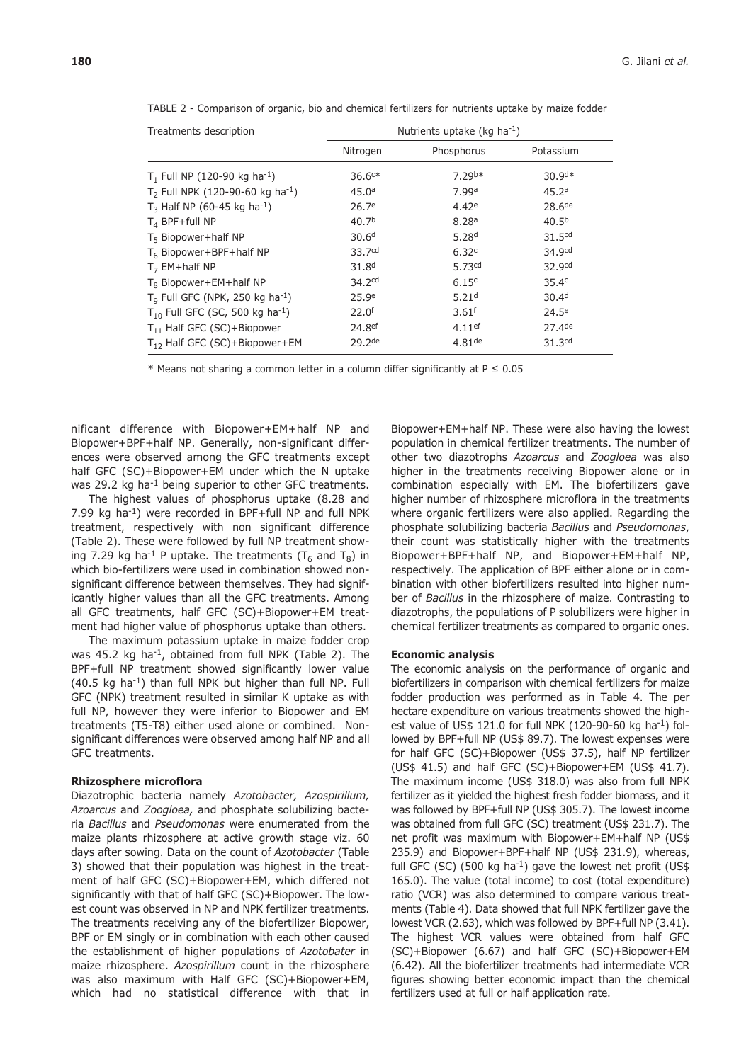| Treatments description                                   | Nutrients uptake (kg $ha^{-1}$ ) |                      |                    |
|----------------------------------------------------------|----------------------------------|----------------------|--------------------|
|                                                          | Nitrogen                         | Phosphorus           | Potassium          |
| $T_1$ Full NP (120-90 kg ha <sup>-1</sup> )              | $36.6c*$                         | $7.29^{b*}$          | $30.9d*$           |
| T <sub>2</sub> Full NPK (120-90-60 kg ha <sup>-1</sup> ) | 45.0a                            | 7.99 <sup>a</sup>    | 45.2a              |
| $T_3$ Half NP (60-45 kg ha <sup>-1</sup> )               | 26.7 <sup>e</sup>                | 4.42e                | 28.6 <sup>de</sup> |
| $T_4$ BPF+full NP                                        | 40.7 <sup>b</sup>                | 8.28a                | 40.5 <sup>b</sup>  |
| $T_5$ Biopower+half NP                                   | 30.6 <sup>d</sup>                | 5.28 <sup>d</sup>    | 31.5 <sup>cd</sup> |
| T <sub>6</sub> Biopower+BPF+half NP                      | 33.7cd                           | 6.32c                | 34.9cd             |
| $T7$ EM+half NP                                          | 31.8 <sup>d</sup>                | 5.73cd               | 32.9cd             |
| $T_8$ Biopower+EM+half NP                                | 34.2 <sup>cd</sup>               | 6.15c                | 35.4 <sup>c</sup>  |
| $T9$ Full GFC (NPK, 250 kg ha <sup>-1</sup> )            | 25.9e                            | 5.21 <sup>d</sup>    | 30.4 <sup>d</sup>  |
| $T_{10}$ Full GFC (SC, 500 kg ha <sup>-1</sup> )         | 22.0 <sup>f</sup>                | 3.61 <sup>f</sup>    | $24.5^e$           |
| $T_{11}$ Half GFC (SC)+Biopower                          | 24.8ef                           | $4.11$ <sup>ef</sup> | $27.4$ de          |
| $T_{12}$ Half GFC (SC)+Biopower+EM                       | 29.2de                           | $4.81$ <sup>de</sup> | 31.3 <sup>cd</sup> |

TABLE 2 - Comparison of organic, bio and chemical fertilizers for nutrients uptake by maize fodder

\* Means not sharing a common letter in a column differ significantly at  $P \le 0.05$ 

nificant difference with Biopower+EM+half NP and Biopower+BPF+half NP. Generally, non-significant differences were observed among the GFC treatments except half GFC (SC)+Biopower+EM under which the N uptake was 29.2 kg ha<sup>-1</sup> being superior to other GFC treatments.

The highest values of phosphorus uptake (8.28 and 7.99 kg ha-1) were recorded in BPF+full NP and full NPK treatment, respectively with non significant difference (Table 2). These were followed by full NP treatment showing 7.29 kg ha<sup>-1</sup> P uptake. The treatments ( $T_6$  and  $T_8$ ) in which bio-fertilizers were used in combination showed nonsignificant difference between themselves. They had significantly higher values than all the GFC treatments. Among all GFC treatments, half GFC (SC)+Biopower+EM treatment had higher value of phosphorus uptake than others.

The maximum potassium uptake in maize fodder crop was 45.2 kg ha<sup>-1</sup>, obtained from full NPK (Table 2). The BPF+full NP treatment showed significantly lower value (40.5 kg ha-1) than full NPK but higher than full NP. Full GFC (NPK) treatment resulted in similar K uptake as with full NP, however they were inferior to Biopower and EM treatments (T5-T8) either used alone or combined. Nonsignificant differences were observed among half NP and all GFC treatments.

## **Rhizosphere microflora**

Diazotrophic bacteria namely *Azotobacter, Azospirillum, Azoarcus* and *Zoogloea,* and phosphate solubilizing bacteria *Bacillus* and *Pseudomonas* were enumerated from the maize plants rhizosphere at active growth stage viz. 60 days after sowing. Data on the count of *Azotobacter* (Table 3) showed that their population was highest in the treatment of half GFC (SC)+Biopower+EM, which differed not significantly with that of half GFC (SC)+Biopower. The lowest count was observed in NP and NPK fertilizer treatments. The treatments receiving any of the biofertilizer Biopower, BPF or EM singly or in combination with each other caused the establishment of higher populations of *Azotobater* in maize rhizosphere. *Azospirillum* count in the rhizosphere was also maximum with Half GFC (SC)+Biopower+EM, which had no statistical difference with that in Biopower+EM+half NP. These were also having the lowest population in chemical fertilizer treatments. The number of other two diazotrophs *Azoarcus* and *Zoogloea* was also higher in the treatments receiving Biopower alone or in combination especially with EM. The biofertilizers gave higher number of rhizosphere microflora in the treatments where organic fertilizers were also applied. Regarding the phosphate solubilizing bacteria *Bacillus* and *Pseudomonas*, their count was statistically higher with the treatments Biopower+BPF+half NP, and Biopower+EM+half NP, respectively. The application of BPF either alone or in combination with other biofertilizers resulted into higher number of *Bacillus* in the rhizosphere of maize. Contrasting to diazotrophs, the populations of P solubilizers were higher in chemical fertilizer treatments as compared to organic ones.

#### **Economic analysis**

The economic analysis on the performance of organic and biofertilizers in comparison with chemical fertilizers for maize fodder production was performed as in Table 4. The per hectare expenditure on various treatments showed the highest value of US\$ 121.0 for full NPK (120-90-60 kg ha-1) followed by BPF+full NP (US\$ 89.7). The lowest expenses were for half GFC (SC)+Biopower (US\$ 37.5), half NP fertilizer (US\$ 41.5) and half GFC (SC)+Biopower+EM (US\$ 41.7). The maximum income (US\$ 318.0) was also from full NPK fertilizer as it yielded the highest fresh fodder biomass, and it was followed by BPF+full NP (US\$ 305.7). The lowest income was obtained from full GFC (SC) treatment (US\$ 231.7). The net profit was maximum with Biopower+EM+half NP (US\$ 235.9) and Biopower+BPF+half NP (US\$ 231.9), whereas, full GFC (SC) (500 kg ha<sup>-1</sup>) gave the lowest net profit (US\$ 165.0). The value (total income) to cost (total expenditure) ratio (VCR) was also determined to compare various treatments (Table 4). Data showed that full NPK fertilizer gave the lowest VCR (2.63), which was followed by BPF+full NP (3.41). The highest VCR values were obtained from half GFC (SC)+Biopower (6.67) and half GFC (SC)+Biopower+EM (6.42). All the biofertilizer treatments had intermediate VCR figures showing better economic impact than the chemical fertilizers used at full or half application rate.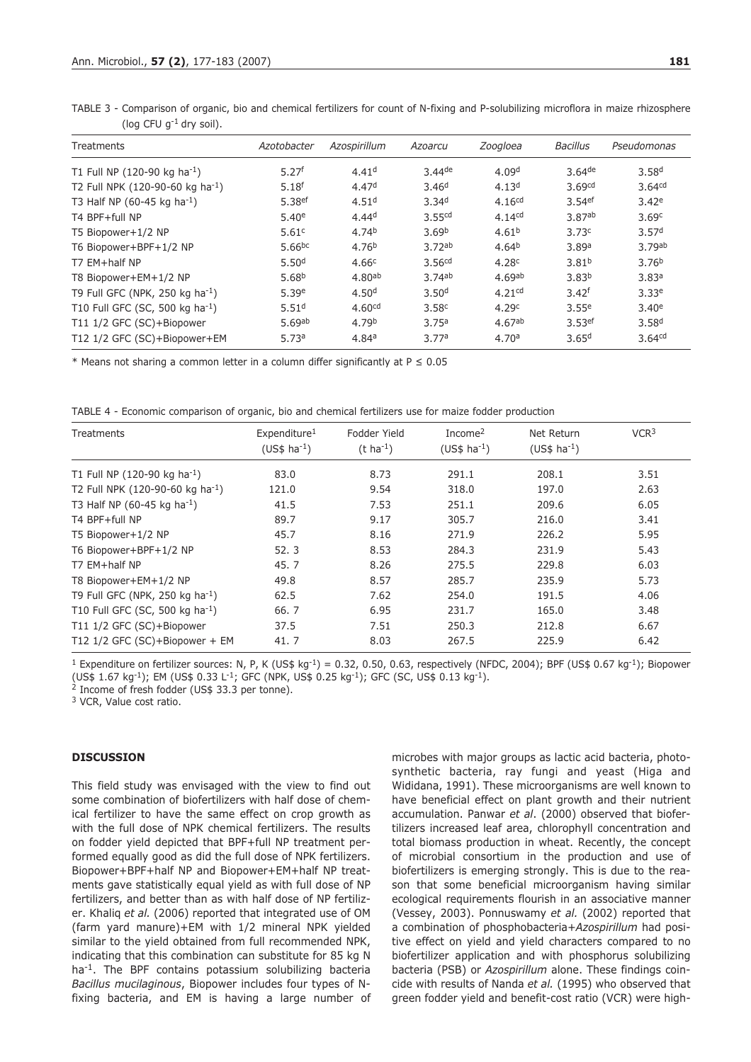| Treatments                                   | Azotobacter        | Azospirillum       | Azoarcu            | Zoogloea           | <b>Bacillus</b>      | Pseudomonas        |
|----------------------------------------------|--------------------|--------------------|--------------------|--------------------|----------------------|--------------------|
| T1 Full NP (120-90 kg ha <sup>-1</sup> )     | 5.27 <sup>f</sup>  | 4.41 <sup>d</sup>  | $3.44$ de          | 4.09 <sup>d</sup>  | $3.64$ <sup>de</sup> | 3.58 <sup>d</sup>  |
| T2 Full NPK (120-90-60 kg ha <sup>-1</sup> ) | 5.18 <sup>f</sup>  | 4.47 <sup>d</sup>  | 3.46 <sup>d</sup>  | 4.13 <sup>d</sup>  | 3.69 <sup>cd</sup>   | 3.64 <sup>cd</sup> |
| T3 Half NP (60-45 kg ha <sup>-1</sup> )      | 5.38 <sup>ef</sup> | 4.51 <sup>d</sup>  | 3.34 <sup>d</sup>  | 4.16 <sup>cd</sup> | 3.54 <sup>ef</sup>   | 3.42e              |
| T4 BPF+full NP                               | 5.40 <sup>e</sup>  | 4.44 <sup>d</sup>  | 3.55 <sup>cd</sup> | 4.14 <sup>cd</sup> | 3.87 <sup>ab</sup>   | 3.69 <sup>c</sup>  |
| T5 Biopower+1/2 NP                           | 5.61 <sup>c</sup>  | 4.74 <sup>b</sup>  | 3.69 <sup>b</sup>  | 4.61 <sup>b</sup>  | 3.73 <sup>c</sup>    | 3.57 <sup>d</sup>  |
| T6 Biopower+BPF+1/2 NP                       | 5.66 <sup>bc</sup> | 4.76 <sup>b</sup>  | 3.72ab             | 4.64 <sup>b</sup>  | 3.89a                | 3.79ab             |
| T7 EM+half NP                                | 5.50 <sup>d</sup>  | 4.66 <sup>c</sup>  | 3.56 <sup>cd</sup> | 4.28 <sup>c</sup>  | 3.81 <sup>b</sup>    | 3.76 <sup>b</sup>  |
| T8 Biopower+EM+1/2 NP                        | 5.68 <sup>b</sup>  | 4.80 <sup>ab</sup> | 3.74ab             | 4.69 <sup>ab</sup> | 3.83 <sup>b</sup>    | 3.83 <sup>a</sup>  |
| T9 Full GFC (NPK, 250 kg ha <sup>-1</sup> )  | 5.39e              | 4.50 <sup>d</sup>  | 3.50 <sup>d</sup>  | 4.21 <sup>cd</sup> | 3.42 <sup>f</sup>    | 3.33e              |
| T10 Full GFC (SC, 500 kg ha <sup>-1</sup> )  | 5.51 <sup>d</sup>  | 4.60 <sup>cd</sup> | 3.58 <sup>c</sup>  | 4.29c              | 3.55e                | 3.40e              |
| T11 1/2 GFC (SC)+Biopower                    | 5.69ab             | 4.79 <sup>b</sup>  | 3.75a              | 4.67ab             | 3.53 <sup>ef</sup>   | 3.58 <sup>d</sup>  |
| T12 1/2 GFC (SC)+Biopower+EM                 | 5.73a              | 4.84a              | 3.77a              | 4.70a              | 3.65 <sup>d</sup>    | 3.64 <sup>cd</sup> |

TABLE 3 - Comparison of organic, bio and chemical fertilizers for count of N-fixing and P-solubilizing microflora in maize rhizosphere (log CFU  $q^{-1}$  dry soil).

\* Means not sharing a common letter in a column differ significantly at  $P \le 0.05$ 

TABLE 4 - Economic comparison of organic, bio and chemical fertilizers use for maize fodder production

| <b>Treatments</b>                           | Expenditure <sup>1</sup><br>$(US$$ ha <sup>-1</sup> ) | Fodder Yield<br>$(t \, ha^{-1})$ | Income $2$<br>$(US$$ ha <sup>-1</sup> ) | Net Return<br>$(US$$ ha <sup>-1</sup> ) | VCR <sup>3</sup> |
|---------------------------------------------|-------------------------------------------------------|----------------------------------|-----------------------------------------|-----------------------------------------|------------------|
| T1 Full NP (120-90 kg ha <sup>-1</sup> )    | 83.0                                                  | 8.73                             | 291.1                                   | 208.1                                   | 3.51             |
| T2 Full NPK (120-90-60 kg ha-1)             | 121.0                                                 | 9.54                             | 318.0                                   | 197.0                                   | 2.63             |
| T3 Half NP (60-45 kg ha <sup>-1</sup> )     | 41.5                                                  | 7.53                             | 251.1                                   | 209.6                                   | 6.05             |
| T4 BPF+full NP                              | 89.7                                                  | 9.17                             | 305.7                                   | 216.0                                   | 3.41             |
| T5 Biopower+1/2 NP                          | 45.7                                                  | 8.16                             | 271.9                                   | 226.2                                   | 5.95             |
| T6 Biopower+BPF+1/2 NP                      | 52.3                                                  | 8.53                             | 284.3                                   | 231.9                                   | 5.43             |
| T7 EM+half NP                               | 45.7                                                  | 8.26                             | 275.5                                   | 229.8                                   | 6.03             |
| T8 Biopower+EM+1/2 NP                       | 49.8                                                  | 8.57                             | 285.7                                   | 235.9                                   | 5.73             |
| T9 Full GFC (NPK, 250 kg ha <sup>-1</sup> ) | 62.5                                                  | 7.62                             | 254.0                                   | 191.5                                   | 4.06             |
| T10 Full GFC (SC, 500 kg ha-1)              | 66.7                                                  | 6.95                             | 231.7                                   | 165.0                                   | 3.48             |
| T11 1/2 GFC (SC)+Biopower                   | 37.5                                                  | 7.51                             | 250.3                                   | 212.8                                   | 6.67             |
| T12 1/2 GFC (SC)+Biopower + EM              | 41.7                                                  | 8.03                             | 267.5                                   | 225.9                                   | 6.42             |

<sup>1</sup> Expenditure on fertilizer sources: N, P, K (US\$ kg<sup>-1</sup>) = 0.32, 0.50, 0.63, respectively (NFDC, 2004); BPF (US\$ 0.67 kg<sup>-1</sup>); Biopower  $(US\frac{2}{3} 1.67 \text{ kg}^{-1})$ ; EM  $(US\frac{2}{3} 0.33 \text{ L}^{-1})$ ; GFC  $(S\frac{2}{3} 0.25 \text{ kg}^{-1})$ ; GFC  $(SC, US\frac{2}{3} 0.13 \text{ kg}^{-1})$ .<br><sup>2</sup> Income of fresh fodder  $(US\frac{2}{3} 33.3 \text{ per tonne})$ .

<sup>3</sup> VCR, Value cost ratio.

## **DISCUSSION**

This field study was envisaged with the view to find out some combination of biofertilizers with half dose of chemical fertilizer to have the same effect on crop growth as with the full dose of NPK chemical fertilizers. The results on fodder yield depicted that BPF+full NP treatment performed equally good as did the full dose of NPK fertilizers. Biopower+BPF+half NP and Biopower+EM+half NP treatments gave statistically equal yield as with full dose of NP fertilizers, and better than as with half dose of NP fertilizer. Khaliq *et al.* (2006) reported that integrated use of OM (farm yard manure)+EM with 1/2 mineral NPK yielded similar to the yield obtained from full recommended NPK, indicating that this combination can substitute for 85 kg N ha<sup>-1</sup>. The BPF contains potassium solubilizing bacteria *Bacillus mucilaginous*, Biopower includes four types of Nfixing bacteria, and EM is having a large number of

microbes with major groups as lactic acid bacteria, photosynthetic bacteria, ray fungi and yeast (Higa and Wididana, 1991). These microorganisms are well known to have beneficial effect on plant growth and their nutrient accumulation. Panwar *et al*. (2000) observed that biofertilizers increased leaf area, chlorophyll concentration and total biomass production in wheat. Recently, the concept of microbial consortium in the production and use of biofertilizers is emerging strongly. This is due to the reason that some beneficial microorganism having similar ecological requirements flourish in an associative manner (Vessey, 2003). Ponnuswamy *et al.* (2002) reported that a combination of phosphobacteria+*Azospirillum* had positive effect on yield and yield characters compared to no biofertilizer application and with phosphorus solubilizing bacteria (PSB) or *Azospirillum* alone. These findings coincide with results of Nanda *et al.* (1995) who observed that green fodder yield and benefit-cost ratio (VCR) were high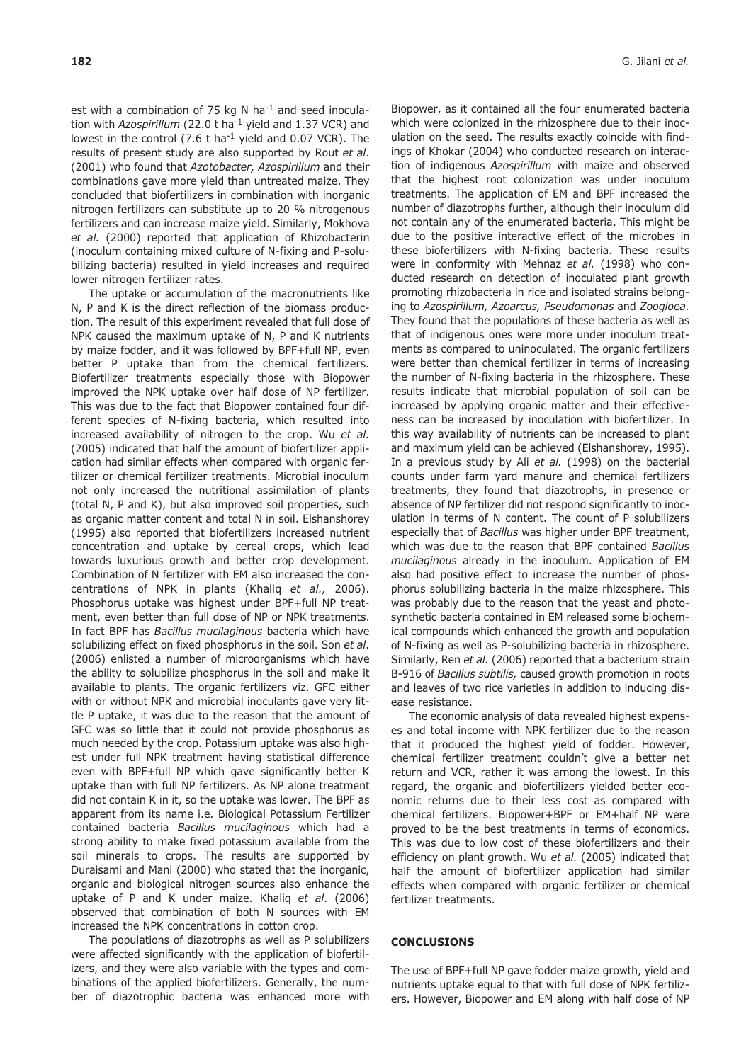est with a combination of 75 kg N ha<sup>-1</sup> and seed inoculation with *Azospirillum* (22.0 t ha-1 yield and 1.37 VCR) and lowest in the control (7.6 t ha<sup>-1</sup> yield and 0.07 VCR). The results of present study are also supported by Rout *et al*. (2001) who found that *Azotobacter, Azospirillum* and their combinations gave more yield than untreated maize. They concluded that biofertilizers in combination with inorganic nitrogen fertilizers can substitute up to 20 % nitrogenous fertilizers and can increase maize yield. Similarly, Mokhova *et al.* (2000) reported that application of Rhizobacterin (inoculum containing mixed culture of N-fixing and P-solubilizing bacteria) resulted in yield increases and required lower nitrogen fertilizer rates.

The uptake or accumulation of the macronutrients like N, P and K is the direct reflection of the biomass production. The result of this experiment revealed that full dose of NPK caused the maximum uptake of N, P and K nutrients by maize fodder, and it was followed by BPF+full NP, even better P uptake than from the chemical fertilizers. Biofertilizer treatments especially those with Biopower improved the NPK uptake over half dose of NP fertilizer. This was due to the fact that Biopower contained four different species of N-fixing bacteria, which resulted into increased availability of nitrogen to the crop. Wu *et al.* (2005) indicated that half the amount of biofertilizer application had similar effects when compared with organic fertilizer or chemical fertilizer treatments. Microbial inoculum not only increased the nutritional assimilation of plants (total N, P and K), but also improved soil properties, such as organic matter content and total N in soil. Elshanshorey (1995) also reported that biofertilizers increased nutrient concentration and uptake by cereal crops, which lead towards luxurious growth and better crop development. Combination of N fertilizer with EM also increased the concentrations of NPK in plants (Khaliq *et al.,* 2006). Phosphorus uptake was highest under BPF+full NP treatment, even better than full dose of NP or NPK treatments. In fact BPF has *Bacillus mucilaginous* bacteria which have solubilizing effect on fixed phosphorus in the soil. Son *et al*. (2006) enlisted a number of microorganisms which have the ability to solubilize phosphorus in the soil and make it available to plants. The organic fertilizers viz. GFC either with or without NPK and microbial inoculants gave very little P uptake, it was due to the reason that the amount of GFC was so little that it could not provide phosphorus as much needed by the crop. Potassium uptake was also highest under full NPK treatment having statistical difference even with BPF+full NP which gave significantly better K uptake than with full NP fertilizers. As NP alone treatment did not contain K in it, so the uptake was lower. The BPF as apparent from its name i.e. Biological Potassium Fertilizer contained bacteria *Bacillus mucilaginous* which had a strong ability to make fixed potassium available from the soil minerals to crops. The results are supported by Duraisami and Mani (2000) who stated that the inorganic, organic and biological nitrogen sources also enhance the uptake of P and K under maize. Khaliq *et al*. (2006) observed that combination of both N sources with EM increased the NPK concentrations in cotton crop.

The populations of diazotrophs as well as P solubilizers were affected significantly with the application of biofertilizers, and they were also variable with the types and combinations of the applied biofertilizers. Generally, the number of diazotrophic bacteria was enhanced more with Biopower, as it contained all the four enumerated bacteria which were colonized in the rhizosphere due to their inoculation on the seed. The results exactly coincide with findings of Khokar (2004) who conducted research on interaction of indigenous *Azospirillum* with maize and observed that the highest root colonization was under inoculum treatments. The application of EM and BPF increased the number of diazotrophs further, although their inoculum did not contain any of the enumerated bacteria. This might be due to the positive interactive effect of the microbes in these biofertilizers with N-fixing bacteria. These results were in conformity with Mehnaz *et al.* (1998) who conducted research on detection of inoculated plant growth promoting rhizobacteria in rice and isolated strains belonging to *Azospirillum, Azoarcus, Pseudomonas* and *Zoogloea.* They found that the populations of these bacteria as well as that of indigenous ones were more under inoculum treatments as compared to uninoculated. The organic fertilizers were better than chemical fertilizer in terms of increasing the number of N-fixing bacteria in the rhizosphere. These results indicate that microbial population of soil can be increased by applying organic matter and their effectiveness can be increased by inoculation with biofertilizer. In this way availability of nutrients can be increased to plant and maximum yield can be achieved (Elshanshorey, 1995). In a previous study by Ali *et al.* (1998) on the bacterial counts under farm yard manure and chemical fertilizers treatments, they found that diazotrophs, in presence or absence of NP fertilizer did not respond significantly to inoculation in terms of N content. The count of P solubilizers especially that of *Bacillus* was higher under BPF treatment, which was due to the reason that BPF contained *Bacillus mucilaginous* already in the inoculum. Application of EM also had positive effect to increase the number of phosphorus solubilizing bacteria in the maize rhizosphere. This was probably due to the reason that the yeast and photosynthetic bacteria contained in EM released some biochemical compounds which enhanced the growth and population of N-fixing as well as P-solubilizing bacteria in rhizosphere. Similarly, Ren *et al.* (2006) reported that a bacterium strain B-916 of *Bacillus subtilis,* caused growth promotion in roots and leaves of two rice varieties in addition to inducing disease resistance.

The economic analysis of data revealed highest expenses and total income with NPK fertilizer due to the reason that it produced the highest yield of fodder. However, chemical fertilizer treatment couldn't give a better net return and VCR, rather it was among the lowest. In this regard, the organic and biofertilizers yielded better economic returns due to their less cost as compared with chemical fertilizers. Biopower+BPF or EM+half NP were proved to be the best treatments in terms of economics. This was due to low cost of these biofertilizers and their efficiency on plant growth. Wu *et al.* (2005) indicated that half the amount of biofertilizer application had similar effects when compared with organic fertilizer or chemical fertilizer treatments.

### **CONCLUSIONS**

The use of BPF+full NP gave fodder maize growth, yield and nutrients uptake equal to that with full dose of NPK fertilizers. However, Biopower and EM along with half dose of NP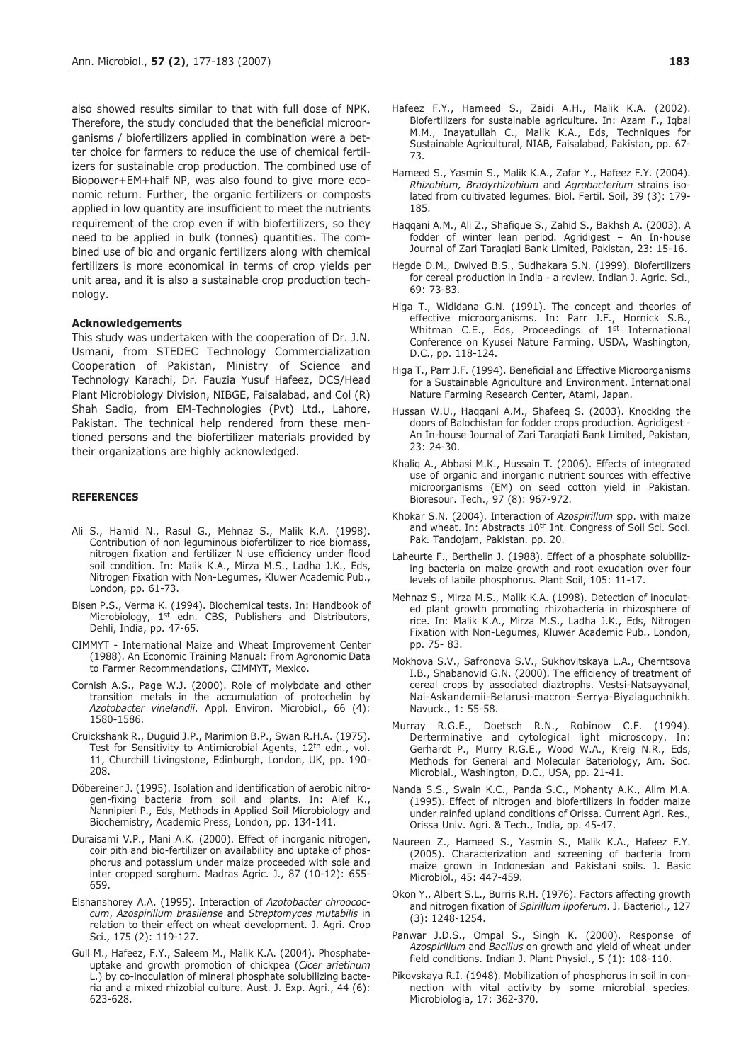also showed results similar to that with full dose of NPK. Therefore, the study concluded that the beneficial microorganisms / biofertilizers applied in combination were a better choice for farmers to reduce the use of chemical fertilizers for sustainable crop production. The combined use of Biopower+EM+half NP, was also found to give more economic return. Further, the organic fertilizers or composts applied in low quantity are insufficient to meet the nutrients requirement of the crop even if with biofertilizers, so they need to be applied in bulk (tonnes) quantities. The combined use of bio and organic fertilizers along with chemical fertilizers is more economical in terms of crop yields per unit area, and it is also a sustainable crop production technology.

### **Acknowledgements**

This study was undertaken with the cooperation of Dr. J.N. Usmani, from STEDEC Technology Commercialization Cooperation of Pakistan, Ministry of Science and Technology Karachi, Dr. Fauzia Yusuf Hafeez, DCS/Head Plant Microbiology Division, NIBGE, Faisalabad, and Col (R) Shah Sadiq, from EM-Technologies (Pvt) Ltd., Lahore, Pakistan. The technical help rendered from these mentioned persons and the biofertilizer materials provided by their organizations are highly acknowledged.

#### **REFERENCES**

- Ali S., Hamid N., Rasul G., Mehnaz S., Malik K.A. (1998). Contribution of non leguminous biofertilizer to rice biomass, nitrogen fixation and fertilizer N use efficiency under flood soil condition. In: Malik K.A., Mirza M.S., Ladha J.K., Eds, Nitrogen Fixation with Non-Legumes, Kluwer Academic Pub., London, pp. 61-73.
- Bisen P.S., Verma K. (1994). Biochemical tests. In: Handbook of Microbiology, 1st edn. CBS, Publishers and Distributors, Dehli, India, pp. 47-65.
- CIMMYT International Maize and Wheat Improvement Center (1988). An Economic Training Manual: From Agronomic Data to Farmer Recommendations, CIMMYT, Mexico.
- Cornish A.S., Page W.J. (2000). Role of molybdate and other transition metals in the accumulation of protochelin by *Azotobacter vinelandii*. Appl. Environ. Microbiol., 66 (4): 1580-1586.
- Cruickshank R., Duguid J.P., Marimion B.P., Swan R.H.A. (1975). Test for Sensitivity to Antimicrobial Agents, 12<sup>th</sup> edn., vol. 11, Churchill Livingstone, Edinburgh, London, UK, pp. 190- 208.
- Döbereiner J. (1995). Isolation and identification of aerobic nitrogen-fixing bacteria from soil and plants. In: Alef K., Nannipieri P., Eds, Methods in Applied Soil Microbiology and Biochemistry, Academic Press, London, pp. 134-141.
- Duraisami V.P., Mani A.K. (2000). Effect of inorganic nitrogen, coir pith and bio-fertilizer on availability and uptake of phosphorus and potassium under maize proceeded with sole and inter cropped sorghum. Madras Agric. J., 87 (10-12): 655- 659.
- Elshanshorey A.A. (1995). Interaction of *Azotobacter chroococcum*, *Azospirillum brasilense* and *Streptomyces mutabilis* in relation to their effect on wheat development. J. Agri. Crop Sci., 175 (2): 119-127.
- Gull M., Hafeez, F.Y., Saleem M., Malik K.A. (2004). Phosphateuptake and growth promotion of chickpea (*Cicer arietinum* L.) by co-inoculation of mineral phosphate solubilizing bacteria and a mixed rhizobial culture. Aust. J. Exp. Agri., 44 (6): 623-628.
- Hafeez F.Y., Hameed S., Zaidi A.H., Malik K.A. (2002). Biofertilizers for sustainable agriculture. In: Azam F., Iqbal M.M., Inayatullah C., Malik K.A., Eds, Techniques for Sustainable Agricultural, NIAB, Faisalabad, Pakistan, pp. 67- 73.
- Hameed S., Yasmin S., Malik K.A., Zafar Y., Hafeez F.Y. (2004). *Rhizobium, Bradyrhizobium* and *Agrobacterium* strains isolated from cultivated legumes. Biol. Fertil. Soil, 39 (3): 179- 185.
- Haqqani A.M., Ali Z., Shafique S., Zahid S., Bakhsh A. (2003). A fodder of winter lean period. Agridigest – An In-house Journal of Zari Taraqiati Bank Limited, Pakistan, 23: 15-16.
- Hegde D.M., Dwived B.S., Sudhakara S.N. (1999). Biofertilizers for cereal production in India - a review. Indian J. Agric. Sci., 69: 73-83.
- Higa T., Wididana G.N. (1991). The concept and theories of effective microorganisms. In: Parr J.F., Hornick S.B., Whitman C.E., Eds, Proceedings of 1<sup>st</sup> International Conference on Kyusei Nature Farming, USDA, Washington, D.C., pp. 118-124.
- Higa T., Parr J.F. (1994). Beneficial and Effective Microorganisms for a Sustainable Agriculture and Environment. International Nature Farming Research Center, Atami, Japan.
- Hussan W.U., Haqqani A.M., Shafeeq S. (2003). Knocking the doors of Balochistan for fodder crops production. Agridigest - An In-house Journal of Zari Taraqiati Bank Limited, Pakistan, 23: 24-30.
- Khaliq A., Abbasi M.K., Hussain T. (2006). Effects of integrated use of organic and inorganic nutrient sources with effective microorganisms (EM) on seed cotton yield in Pakistan. Bioresour. Tech., 97 (8): 967-972.
- Khokar S.N. (2004). Interaction of *Azospirillum* spp. with maize and wheat. In: Abstracts 10<sup>th</sup> Int. Congress of Soil Sci. Soci. Pak. Tandojam, Pakistan. pp. 20.
- Laheurte F., Berthelin J. (1988). Effect of a phosphate solubilizing bacteria on maize growth and root exudation over four levels of labile phosphorus. Plant Soil, 105: 11-17.
- Mehnaz S., Mirza M.S., Malik K.A. (1998). Detection of inoculated plant growth promoting rhizobacteria in rhizosphere of rice. In: Malik K.A., Mirza M.S., Ladha J.K., Eds, Nitrogen Fixation with Non-Legumes, Kluwer Academic Pub., London, pp. 75- 83.
- Mokhova S.V., Safronova S.V., Sukhovitskaya L.A., Cherntsova I.B., Shabanovid G.N. (2000). The efficiency of treatment of cereal crops by associated diaztrophs. Vestsi-Natsayyanal, Nai-Askandemii-Belarusi-macron–Serrya-Biyalaguchnikh. Navuck., 1: 55-58.
- Murray R.G.E., Doetsch R.N., Robinow C.F. (1994). Derterminative and cytological light microscopy. In: Gerhardt P., Murry R.G.E., Wood W.A., Kreig N.R., Eds, Methods for General and Molecular Bateriology, Am. Soc. Microbial., Washington, D.C., USA, pp. 21-41.
- Nanda S.S., Swain K.C., Panda S.C., Mohanty A.K., Alim M.A. (1995). Effect of nitrogen and biofertilizers in fodder maize under rainfed upland conditions of Orissa. Current Agri. Res., Orissa Univ. Agri. & Tech., India, pp. 45-47.
- Naureen Z., Hameed S., Yasmin S., Malik K.A., Hafeez F.Y. (2005). Characterization and screening of bacteria from maize grown in Indonesian and Pakistani soils. J. Basic Microbiol., 45: 447-459.
- Okon Y., Albert S.L., Burris R.H. (1976). Factors affecting growth and nitrogen fixation of *Spirillum lipoferum*. J. Bacteriol., 127 (3): 1248-1254.
- Panwar J.D.S., Ompal S., Singh K. (2000). Response of *Azospirillum* and *Bacillus* on growth and yield of wheat under field conditions. Indian J. Plant Physiol., 5 (1): 108-110.
- Pikovskaya R.I. (1948). Mobilization of phosphorus in soil in connection with vital activity by some microbial species. Microbiologia, 17: 362-370.